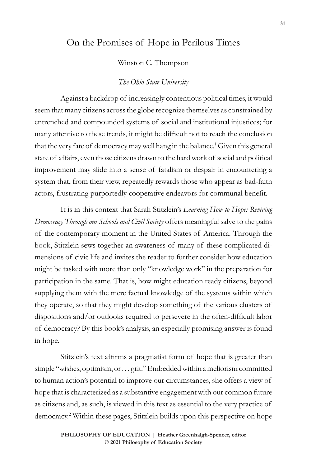# On the Promises of Hope in Perilous Times

Winston C. Thompson

#### *The Ohio State University*

Against a backdrop of increasingly contentious political times, it would seem that many citizens across the globe recognize themselves as constrained by entrenched and compounded systems of social and institutional injustices; for many attentive to these trends, it might be difficult not to reach the conclusion that the very fate of democracy may well hang in the balance.<sup>1</sup> Given this general state of affairs, even those citizens drawn to the hard work of social and political improvement may slide into a sense of fatalism or despair in encountering a system that, from their view, repeatedly rewards those who appear as bad-faith actors, frustrating purportedly cooperative endeavors for communal benefit.

It is in this context that Sarah Stitzlein's *Learning How to Hope: Reviving Democracy Through our Schools and Civil Society* offers meaningful salve to the pains of the contemporary moment in the United States of America. Through the book, Stitzlein sews together an awareness of many of these complicated dimensions of civic life and invites the reader to further consider how education might be tasked with more than only "knowledge work" in the preparation for participation in the same. That is, how might education ready citizens, beyond supplying them with the mere factual knowledge of the systems within which they operate, so that they might develop something of the various clusters of dispositions and/or outlooks required to persevere in the often-difficult labor of democracy? By this book's analysis, an especially promising answer is found in hope.

Stitzlein's text affirms a pragmatist form of hope that is greater than simple "wishes, optimism, or . . . grit." Embedded within a meliorism committed to human action's potential to improve our circumstances, she offers a view of hope that is characterized as a substantive engagement with our common future as citizens and, as such, is viewed in this text as essential to the very practice of democracy.2 Within these pages, Stitzlein builds upon this perspective on hope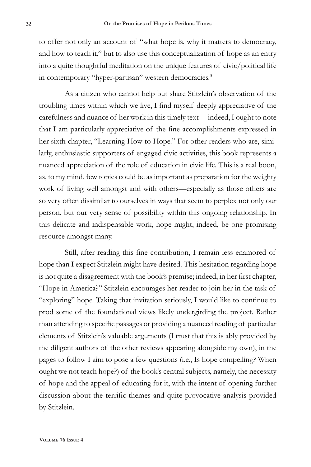to offer not only an account of "what hope is, why it matters to democracy, and how to teach it," but to also use this conceptualization of hope as an entry into a quite thoughtful meditation on the unique features of civic/political life in contemporary "hyper-partisan" western democracies.3

As a citizen who cannot help but share Stitzlein's observation of the troubling times within which we live, I find myself deeply appreciative of the carefulness and nuance of her work in this timely text— indeed, I ought to note that I am particularly appreciative of the fine accomplishments expressed in her sixth chapter, "Learning How to Hope." For other readers who are, similarly, enthusiastic supporters of engaged civic activities, this book represents a nuanced appreciation of the role of education in civic life. This is a real boon, as, to my mind, few topics could be as important as preparation for the weighty work of living well amongst and with others—especially as those others are so very often dissimilar to ourselves in ways that seem to perplex not only our person, but our very sense of possibility within this ongoing relationship. In this delicate and indispensable work, hope might, indeed, be one promising resource amongst many.

Still, after reading this fine contribution, I remain less enamored of hope than I expect Stitzlein might have desired. This hesitation regarding hope is not quite a disagreement with the book's premise; indeed, in her first chapter, "Hope in America?" Stitzlein encourages her reader to join her in the task of "exploring" hope. Taking that invitation seriously, I would like to continue to prod some of the foundational views likely undergirding the project. Rather than attending to specific passages or providing a nuanced reading of particular elements of Stitzlein's valuable arguments (I trust that this is ably provided by the diligent authors of the other reviews appearing alongside my own), in the pages to follow I aim to pose a few questions (i.e., Is hope compelling? When ought we not teach hope?) of the book's central subjects, namely, the necessity of hope and the appeal of educating for it, with the intent of opening further discussion about the terrific themes and quite provocative analysis provided by Stitzlein.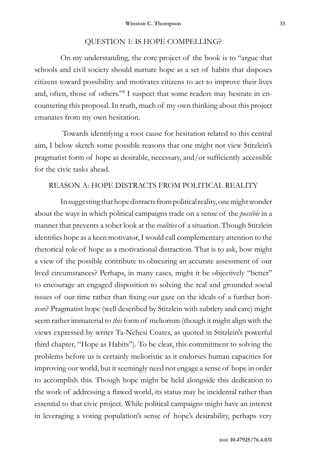### QUESTION 1: IS HOPE COMPELLING?

On my understanding, the core project of the book is to "argue that schools and civil society should nurture hope as a set of habits that disposes citizens toward possibility and motivates citizens to act to improve their lives and, often, those of others."<sup>4</sup> I suspect that some readers may hesitate in encountering this proposal. In truth, much of my own thinking about this project emanates from my own hesitation.

 Towards identifying a root cause for hesitation related to this central aim, I below sketch some possible reasons that one might not view Stitzlein's pragmatist form of hope as desirable, necessary, and/or sufficiently accessible for the civic tasks ahead.

#### REASON A: HOPE DISTRACTS FROM POLITICAL REALITY

In suggesting that hope distracts from political reality, one might wonder about the ways in which political campaigns trade on a sense of the *possible* in a manner that prevents a sober look at the *realities* of a situation. Though Stitzlein identifies hope as a keen motivator, I would call complementary attention to the rhetorical role of hope as a motivational distraction. That is to ask, how might a view of the possible contribute to obscuring an accurate assessment of our lived circumstances? Perhaps, in many cases, might it be objectively "better" to encourage an engaged disposition to solving the real and grounded social issues of our time rather than fixing our gaze on the ideals of a further horizon? Pragmatist hope (well described by Stitzlein with subtlety and care) might seem rather immaterial to *this* form of meliorism (though it might align with the views expressed by writer Ta-Nehesi Coates, as quoted in Stitzlein's powerful third chapter, "Hope as Habits"). To be clear, this commitment to solving the problems before us is certainly melioristic as it endorses human capacities for improving our world, but it seemingly need not engage a sense of hope in order to accomplish this. Though hope might be held alongside this dedication to the work of addressing a flawed world, its status may be incidental rather than essential to that civic project. While political campaigns might have an interest in leveraging a voting population's sense of hope's desirability, perhaps very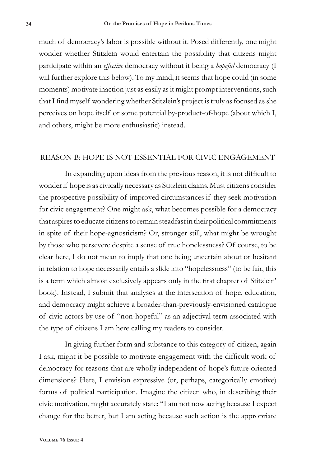much of democracy's labor is possible without it. Posed differently, one might wonder whether Stitzlein would entertain the possibility that citizens might participate within an *effective* democracy without it being a *hopeful* democracy (I will further explore this below). To my mind, it seems that hope could (in some moments) motivate inaction just as easily as it might prompt interventions, such that I find myself wondering whether Stitzlein's project is truly as focused as she perceives on hope itself or some potential by-product-of-hope (about which I, and others, might be more enthusiastic) instead.

#### REASON B: HOPE IS NOT ESSENTIAL FOR CIVIC ENGAGEMENT

In expanding upon ideas from the previous reason, it is not difficult to wonder if hope is as civically necessary as Stitzlein claims. Must citizens consider the prospective possibility of improved circumstances if they seek motivation for civic engagement? One might ask, what becomes possible for a democracy that aspires to educate citizens to remain steadfast in their political commitments in spite of their hope-agnosticism? Or, stronger still, what might be wrought by those who persevere despite a sense of true hopelessness? Of course, to be clear here, I do not mean to imply that one being uncertain about or hesitant in relation to hope necessarily entails a slide into "hopelessness" (to be fair, this is a term which almost exclusively appears only in the first chapter of Stitzlein' book). Instead, I submit that analyses at the intersection of hope, education, and democracy might achieve a broader-than-previously-envisioned catalogue of civic actors by use of "non-hopeful" as an adjectival term associated with the type of citizens I am here calling my readers to consider.

In giving further form and substance to this category of citizen, again I ask, might it be possible to motivate engagement with the difficult work of democracy for reasons that are wholly independent of hope's future oriented dimensions? Here, I envision expressive (or, perhaps, categorically emotive) forms of political participation. Imagine the citizen who, in describing their civic motivation, might accurately state: "I am not now acting because I expect change for the better, but I am acting because such action is the appropriate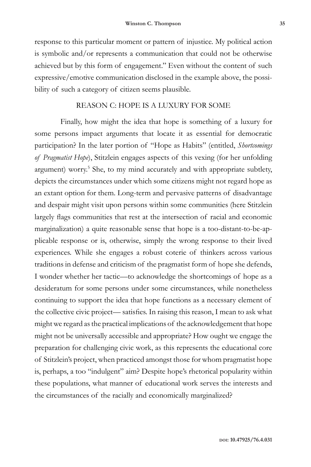response to this particular moment or pattern of injustice. My political action is symbolic and/or represents a communication that could not be otherwise achieved but by this form of engagement." Even without the content of such expressive/emotive communication disclosed in the example above, the possibility of such a category of citizen seems plausible.

#### REASON C: HOPE IS A LUXURY FOR SOME

Finally, how might the idea that hope is something of a luxury for some persons impact arguments that locate it as essential for democratic participation? In the later portion of "Hope as Habits" (entitled, *Shortcomings of Pragmatist Hope*), Stitzlein engages aspects of this vexing (for her unfolding argument) worry.<sup>5</sup> She, to my mind accurately and with appropriate subtlety, depicts the circumstances under which some citizens might not regard hope as an extant option for them. Long-term and pervasive patterns of disadvantage and despair might visit upon persons within some communities (here Stitzlein largely flags communities that rest at the intersection of racial and economic marginalization) a quite reasonable sense that hope is a too-distant-to-be-applicable response or is, otherwise, simply the wrong response to their lived experiences. While she engages a robust coterie of thinkers across various traditions in defense and criticism of the pragmatist form of hope she defends, I wonder whether her tactic—to acknowledge the shortcomings of hope as a desideratum for some persons under some circumstances, while nonetheless continuing to support the idea that hope functions as a necessary element of the collective civic project— satisfies. In raising this reason, I mean to ask what might we regard as the practical implications of the acknowledgement that hope might not be universally accessible and appropriate? How ought we engage the preparation for challenging civic work, as this represents the educational core of Stitzlein's project, when practiced amongst those for whom pragmatist hope is, perhaps, a too "indulgent" aim? Despite hope's rhetorical popularity within these populations, what manner of educational work serves the interests and the circumstances of the racially and economically marginalized?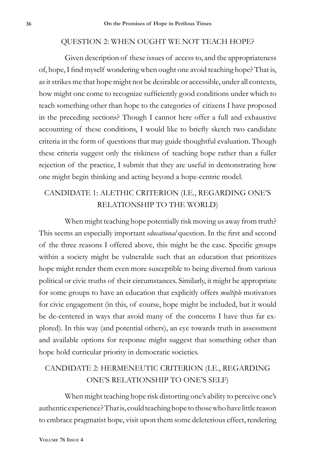### QUESTION 2: WHEN OUGHT WE NOT TEACH HOPE?

Given description of these issues of access to, and the appropriateness of, hope, I find myself wondering when ought one avoid teaching hope? That is, as it strikes me that hope might not be desirable or accessible, under all contexts, how might one come to recognize sufficiently good conditions under which to teach something other than hope to the categories of citizens I have proposed in the preceding sections? Though I cannot here offer a full and exhaustive accounting of these conditions, I would like to briefly sketch two candidate criteria in the form of questions that may guide thoughtful evaluation. Though these criteria suggest only the riskiness of teaching hope rather than a fuller rejection of the practice, I submit that they are useful in demonstrating how one might begin thinking and acting beyond a hope-centric model.

## CANDIDATE 1: ALETHIC CRITERION (I.E., REGARDING ONE'S RELATIONSHIP TO THE WORLD)

When might teaching hope potentially risk moving us away from truth? This seems an especially important *educational* question. In the first and second of the three reasons I offered above, this might be the case. Specific groups within a society might be vulnerable such that an education that prioritizes hope might render them even more susceptible to being diverted from various political or civic truths of their circumstances. Similarly, it might be appropriate for some groups to have an education that explicitly offers *multiple* motivators for civic engagement (in this, of course, hope might be included, but it would be de-centered in ways that avoid many of the concerns I have thus far explored). In this way (and potential others), an eye towards truth in assessment and available options for response might suggest that something other than hope hold curricular priority in democratic societies.

## CANDIDATE 2: HERMENEUTIC CRITERION (I.E., REGARDING ONE'S RELATIONSHIP TO ONE'S SELF)

When might teaching hope risk distorting one's ability to perceive one's authentic experience? That is, could teaching hope to those who have little reason to embrace pragmatist hope, visit upon them some deleterious effect, rendering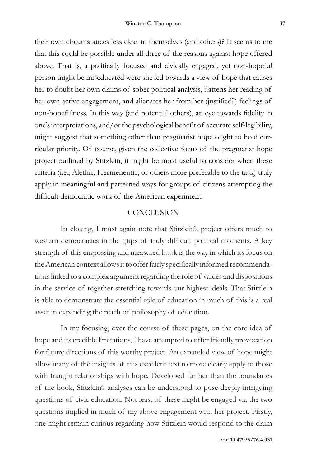their own circumstances less clear to themselves (and others)? It seems to me that this could be possible under all three of the reasons against hope offered above. That is, a politically focused and civically engaged, yet non-hopeful person might be miseducated were she led towards a view of hope that causes her to doubt her own claims of sober political analysis, flattens her reading of her own active engagement, and alienates her from her (justified?) feelings of non-hopefulness. In this way (and potential others), an eye towards fidelity in one's interpretations, and/or the psychological benefit of accurate self-legibility, might suggest that something other than pragmatist hope ought to hold curricular priority. Of course, given the collective focus of the pragmatist hope project outlined by Stitzlein, it might be most useful to consider when these criteria (i.e., Alethic, Hermeneutic, or others more preferable to the task) truly apply in meaningful and patterned ways for groups of citizens attempting the difficult democratic work of the American experiment.

#### **CONCLUSION**

In closing, I must again note that Stitzlein's project offers much to western democracies in the grips of truly difficult political moments. A key strength of this engrossing and measured book is the way in which its focus on the American context allows it to offer fairly specifically informed recommendations linked to a complex argument regarding the role of values and dispositions in the service of together stretching towards our highest ideals. That Stitzlein is able to demonstrate the essential role of education in much of this is a real asset in expanding the reach of philosophy of education.

In my focusing, over the course of these pages, on the core idea of hope and its credible limitations, I have attempted to offer friendly provocation for future directions of this worthy project. An expanded view of hope might allow many of the insights of this excellent text to more clearly apply to those with fraught relationships with hope. Developed further than the boundaries of the book, Stitzlein's analyses can be understood to pose deeply intriguing questions of civic education. Not least of these might be engaged via the two questions implied in much of my above engagement with her project. Firstly, one might remain curious regarding how Stitzlein would respond to the claim